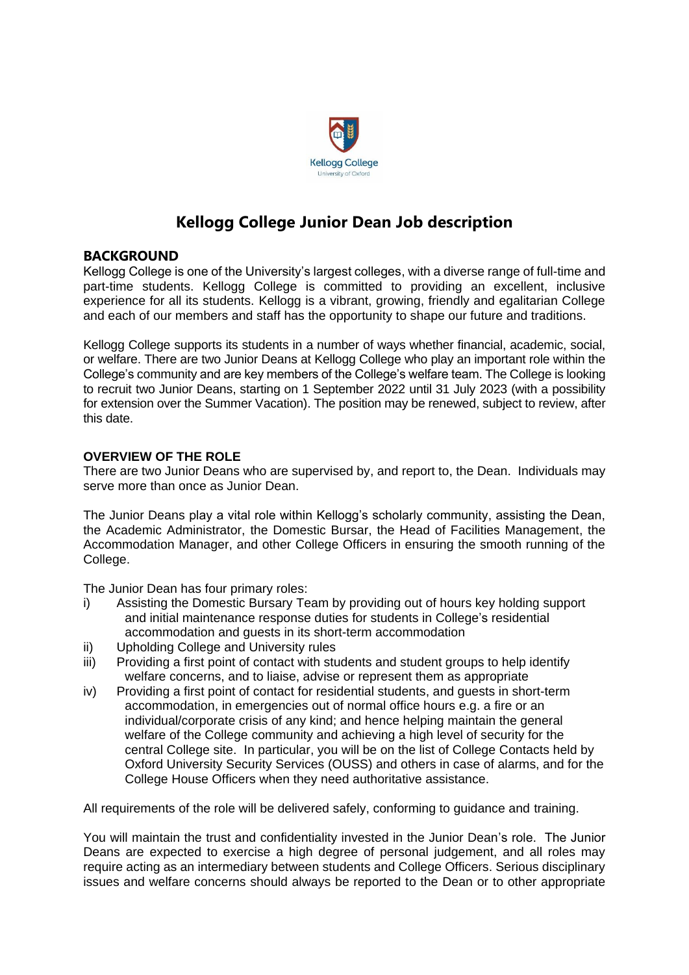

# **Kellogg College Junior Dean Job description**

# **BACKGROUND**

Kellogg College is one of the University's largest colleges, with a diverse range of full-time and part-time students. Kellogg College is committed to providing an excellent, inclusive experience for all its students. Kellogg is a vibrant, growing, friendly and egalitarian College and each of our members and staff has the opportunity to shape our future and traditions.

Kellogg College supports its students in a number of ways whether financial, academic, social, or welfare. There are two Junior Deans at Kellogg College who play an important role within the College's community and are key members of the College's welfare team. The College is looking to recruit two Junior Deans, starting on 1 September 2022 until 31 July 2023 (with a possibility for extension over the Summer Vacation). The position may be renewed, subject to review, after this date.

## **OVERVIEW OF THE ROLE**

There are two Junior Deans who are supervised by, and report to, the Dean. Individuals may serve more than once as Junior Dean.

The Junior Deans play a vital role within Kellogg's scholarly community, assisting the Dean, the Academic Administrator, the Domestic Bursar, the Head of Facilities Management, the Accommodation Manager, and other College Officers in ensuring the smooth running of the College.

The Junior Dean has four primary roles:

- i) Assisting the Domestic Bursary Team by providing out of hours key holding support and initial maintenance response duties for students in College's residential accommodation and guests in its short-term accommodation
- ii) Upholding College and University rules
- iii) Providing a first point of contact with students and student groups to help identify welfare concerns, and to liaise, advise or represent them as appropriate
- iv) Providing a first point of contact for residential students, and guests in short-term accommodation, in emergencies out of normal office hours e.g. a fire or an individual/corporate crisis of any kind; and hence helping maintain the general welfare of the College community and achieving a high level of security for the central College site. In particular, you will be on the list of College Contacts held by Oxford University Security Services (OUSS) and others in case of alarms, and for the College House Officers when they need authoritative assistance.

All requirements of the role will be delivered safely, conforming to guidance and training.

You will maintain the trust and confidentiality invested in the Junior Dean's role. The Junior Deans are expected to exercise a high degree of personal judgement, and all roles may require acting as an intermediary between students and College Officers. Serious disciplinary issues and welfare concerns should always be reported to the Dean or to other appropriate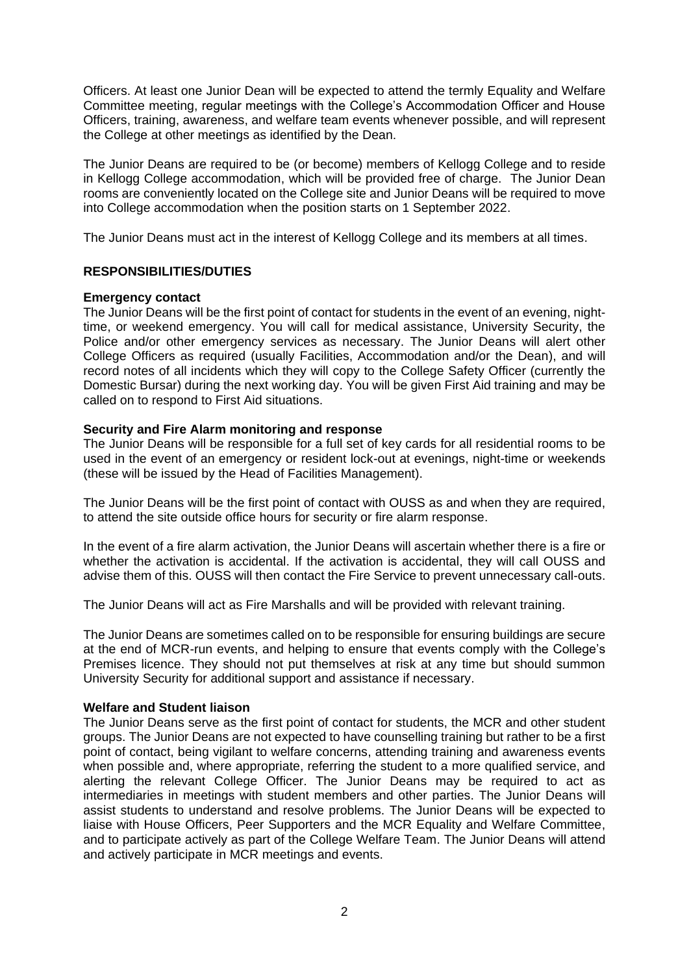Officers. At least one Junior Dean will be expected to attend the termly Equality and Welfare Committee meeting, regular meetings with the College's Accommodation Officer and House Officers, training, awareness, and welfare team events whenever possible, and will represent the College at other meetings as identified by the Dean.

The Junior Deans are required to be (or become) members of Kellogg College and to reside in Kellogg College accommodation, which will be provided free of charge. The Junior Dean rooms are conveniently located on the College site and Junior Deans will be required to move into College accommodation when the position starts on 1 September 2022.

The Junior Deans must act in the interest of Kellogg College and its members at all times.

## **RESPONSIBILITIES/DUTIES**

#### **Emergency contact**

The Junior Deans will be the first point of contact for students in the event of an evening, nighttime, or weekend emergency. You will call for medical assistance, University Security, the Police and/or other emergency services as necessary. The Junior Deans will alert other College Officers as required (usually Facilities, Accommodation and/or the Dean), and will record notes of all incidents which they will copy to the College Safety Officer (currently the Domestic Bursar) during the next working day. You will be given First Aid training and may be called on to respond to First Aid situations.

## **Security and Fire Alarm monitoring and response**

The Junior Deans will be responsible for a full set of key cards for all residential rooms to be used in the event of an emergency or resident lock-out at evenings, night-time or weekends (these will be issued by the Head of Facilities Management).

The Junior Deans will be the first point of contact with OUSS as and when they are required, to attend the site outside office hours for security or fire alarm response.

In the event of a fire alarm activation, the Junior Deans will ascertain whether there is a fire or whether the activation is accidental. If the activation is accidental, they will call OUSS and advise them of this. OUSS will then contact the Fire Service to prevent unnecessary call-outs.

The Junior Deans will act as Fire Marshalls and will be provided with relevant training.

The Junior Deans are sometimes called on to be responsible for ensuring buildings are secure at the end of MCR-run events, and helping to ensure that events comply with the College's Premises licence. They should not put themselves at risk at any time but should summon University Security for additional support and assistance if necessary.

#### **Welfare and Student liaison**

The Junior Deans serve as the first point of contact for students, the MCR and other student groups. The Junior Deans are not expected to have counselling training but rather to be a first point of contact, being vigilant to welfare concerns, attending training and awareness events when possible and, where appropriate, referring the student to a more qualified service, and alerting the relevant College Officer. The Junior Deans may be required to act as intermediaries in meetings with student members and other parties. The Junior Deans will assist students to understand and resolve problems. The Junior Deans will be expected to liaise with House Officers, Peer Supporters and the MCR Equality and Welfare Committee, and to participate actively as part of the College Welfare Team. The Junior Deans will attend and actively participate in MCR meetings and events.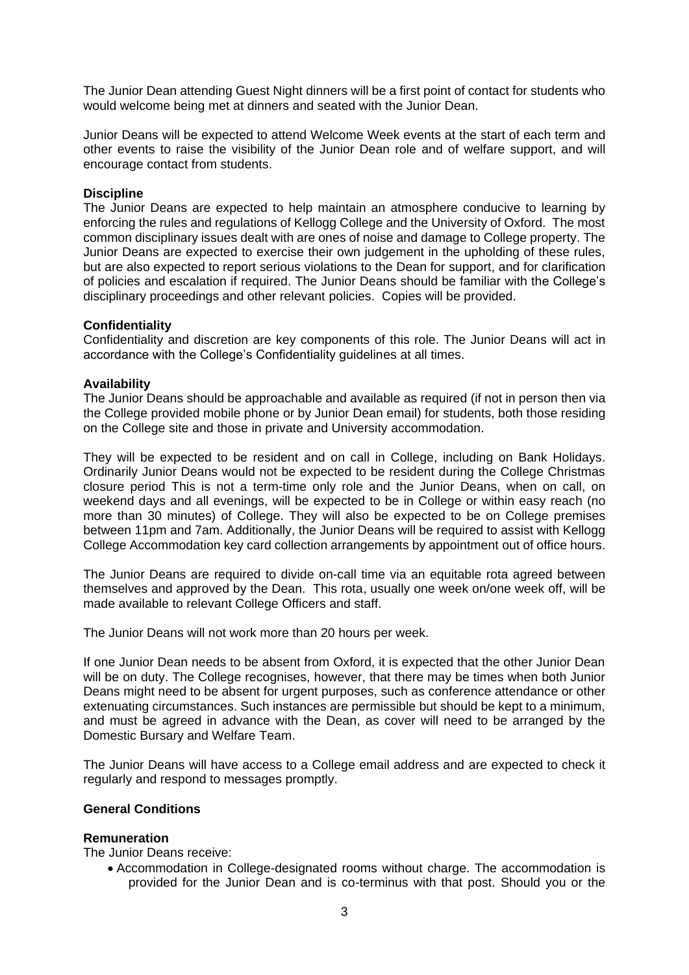The Junior Dean attending Guest Night dinners will be a first point of contact for students who would welcome being met at dinners and seated with the Junior Dean.

Junior Deans will be expected to attend Welcome Week events at the start of each term and other events to raise the visibility of the Junior Dean role and of welfare support, and will encourage contact from students.

#### **Discipline**

The Junior Deans are expected to help maintain an atmosphere conducive to learning by enforcing the rules and regulations of Kellogg College and the University of Oxford. The most common disciplinary issues dealt with are ones of noise and damage to College property. The Junior Deans are expected to exercise their own judgement in the upholding of these rules, but are also expected to report serious violations to the Dean for support, and for clarification of policies and escalation if required. The Junior Deans should be familiar with the College's disciplinary proceedings and other relevant policies. Copies will be provided.

#### **Confidentiality**

Confidentiality and discretion are key components of this role. The Junior Deans will act in accordance with the College's Confidentiality guidelines at all times.

#### **Availability**

The Junior Deans should be approachable and available as required (if not in person then via the College provided mobile phone or by Junior Dean email) for students, both those residing on the College site and those in private and University accommodation.

They will be expected to be resident and on call in College, including on Bank Holidays. Ordinarily Junior Deans would not be expected to be resident during the College Christmas closure period This is not a term-time only role and the Junior Deans, when on call, on weekend days and all evenings, will be expected to be in College or within easy reach (no more than 30 minutes) of College. They will also be expected to be on College premises between 11pm and 7am. Additionally, the Junior Deans will be required to assist with Kellogg College Accommodation key card collection arrangements by appointment out of office hours.

The Junior Deans are required to divide on-call time via an equitable rota agreed between themselves and approved by the Dean. This rota, usually one week on/one week off, will be made available to relevant College Officers and staff.

The Junior Deans will not work more than 20 hours per week.

If one Junior Dean needs to be absent from Oxford, it is expected that the other Junior Dean will be on duty. The College recognises, however, that there may be times when both Junior Deans might need to be absent for urgent purposes, such as conference attendance or other extenuating circumstances. Such instances are permissible but should be kept to a minimum, and must be agreed in advance with the Dean, as cover will need to be arranged by the Domestic Bursary and Welfare Team.

The Junior Deans will have access to a College email address and are expected to check it regularly and respond to messages promptly.

## **General Conditions**

#### **Remuneration**

The Junior Deans receive:

• Accommodation in College-designated rooms without charge. The accommodation is provided for the Junior Dean and is co-terminus with that post. Should you or the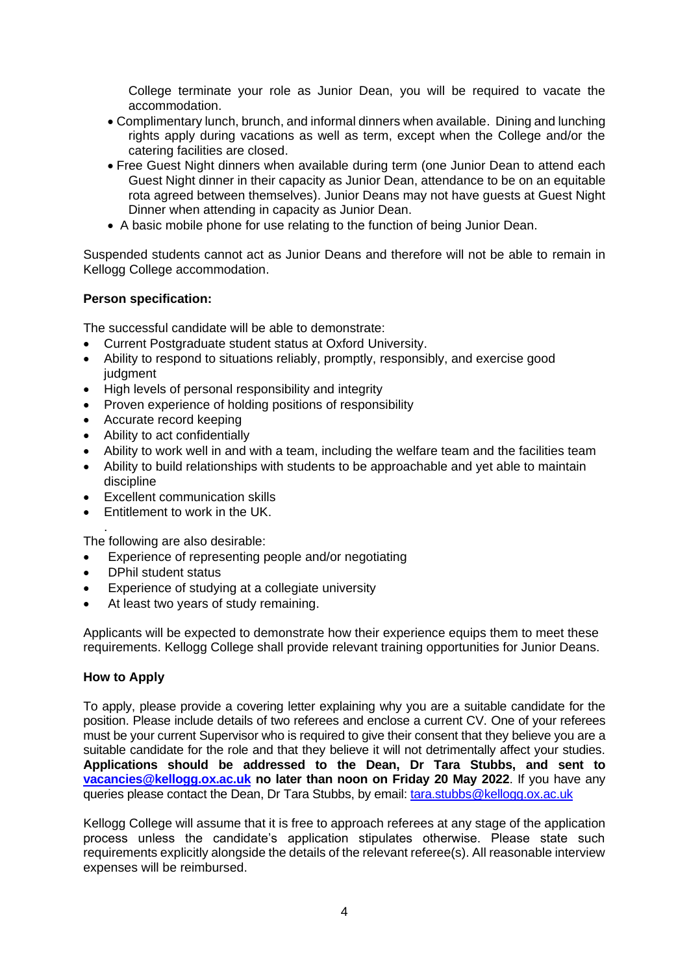College terminate your role as Junior Dean, you will be required to vacate the accommodation.

- Complimentary lunch, brunch, and informal dinners when available. Dining and lunching rights apply during vacations as well as term, except when the College and/or the catering facilities are closed.
- Free Guest Night dinners when available during term (one Junior Dean to attend each Guest Night dinner in their capacity as Junior Dean, attendance to be on an equitable rota agreed between themselves). Junior Deans may not have guests at Guest Night Dinner when attending in capacity as Junior Dean.
- A basic mobile phone for use relating to the function of being Junior Dean.

Suspended students cannot act as Junior Deans and therefore will not be able to remain in Kellogg College accommodation.

# **Person specification:**

The successful candidate will be able to demonstrate:

- Current Postgraduate student status at Oxford University.
- Ability to respond to situations reliably, promptly, responsibly, and exercise good judgment
- High levels of personal responsibility and integrity
- Proven experience of holding positions of responsibility
- Accurate record keeping
- Ability to act confidentially
- Ability to work well in and with a team, including the welfare team and the facilities team
- Ability to build relationships with students to be approachable and yet able to maintain discipline
- Excellent communication skills
- Entitlement to work in the UK.

. The following are also desirable:

- Experience of representing people and/or negotiating
- DPhil student status
- Experience of studying at a collegiate university
- At least two years of study remaining.

Applicants will be expected to demonstrate how their experience equips them to meet these requirements. Kellogg College shall provide relevant training opportunities for Junior Deans.

## **How to Apply**

To apply, please provide a covering letter explaining why you are a suitable candidate for the position. Please include details of two referees and enclose a current CV. One of your referees must be your current Supervisor who is required to give their consent that they believe you are a suitable candidate for the role and that they believe it will not detrimentally affect your studies. **Applications should be addressed to the Dean, Dr Tara Stubbs, and sent to [vacancies@kellogg.ox.ac.uk](mailto:vacancies@kellogg.ox.ac.uk) no later than noon on Friday 20 May 2022**. If you have any queries please contact the Dean, Dr Tara Stubbs, by email: [tara.stubbs@kellogg.ox.ac.uk](mailto:tara.stubbs@kellogg.ox.ac.uk)

Kellogg College will assume that it is free to approach referees at any stage of the application process unless the candidate's application stipulates otherwise. Please state such requirements explicitly alongside the details of the relevant referee(s). All reasonable interview expenses will be reimbursed.